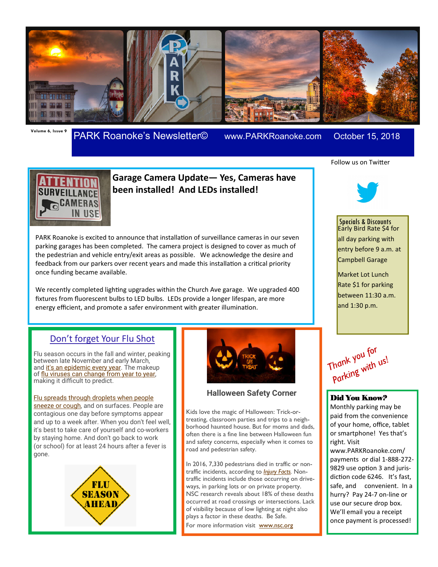

**Volume 6, Issue 9** PARK Roanoke's Newsletter© www.PARKRoanoke.com October 15, 2018



**Garage Camera Update— Yes, Cameras have been installed! And LEDs installed!** 

PARK Roanoke is excited to announce that installation of surveillance cameras in our seven parking garages has been completed. The camera project is designed to cover as much of the pedestrian and vehicle entry/exit areas as possible. We acknowledge the desire and feedback from our parkers over recent years and made this installation a critical priority once funding became available.

We recently completed lighting upgrades within the Church Ave garage. We upgraded 400 fixtures from fluorescent bulbs to LED bulbs. LEDs provide a longer lifespan, are more energy efficient, and promote a safer environment with greater illumination.

## Don't forget Your Flu Shot

Flu season occurs in the fall and winter, peaking between late November and early March, and it's an epidemic every year. The makeup of flu viruses can change from year to year, making it difficult to predict.

Flu spreads through droplets when people sneeze or cough, and on surfaces. People are contagious one day before symptoms appear and up to a week after. When you don't feel well, it's best to take care of yourself and co-workers by staying home. And don't go back to work (or school) for at least 24 hours after a fever is gone.





## **Halloween Safety Corner**

Kids love the magic of Halloween: Trick-ortreating, classroom parties and trips to a neighborhood haunted house. But for moms and dads, often there is a fine line between Halloween fun and safety concerns, especially when it comes to road and pedestrian safety.

In 2016, 7,330 pedestrians died in traffic or nontraffic incidents, according to *Injury Facts.* Nontraffic incidents include those occurring on driveways, in parking lots or on private property. NSC research reveals about 18% of these deaths occurred at road crossings or intersections. Lack of visibility because of low lighting at night also plays a factor in these deaths. Be Safe. For more information visit www.nsc.org

Follow us on Twitter



Specials & Discounts Early Bird Rate \$4 for all day parking with entry before 9 a.m. at Campbell Garage

Market Lot Lunch Rate \$1 for parking between 11:30 a.m. and 1:30 p.m.

Thank you for Thank you for<br>Parking with us!

## Did You Know?

Monthly parking may be paid from the convenience of your home, office, tablet or smartphone! Yes that's right. Visit www.PARKRoanoke.com/ payments or dial 1-888-272- 9829 use option 3 and jurisdiction code 6246. It's fast, safe, and convenient. In a hurry? Pay 24-7 on-line or use our secure drop box. We'll email you a receipt once payment is processed!